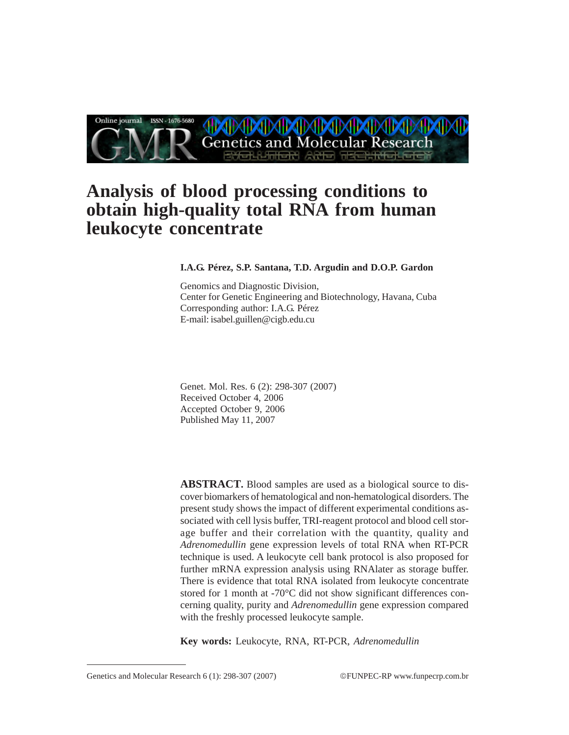

# **Analysis of blood processing conditions to obtain high-quality total RNA from human leukocyte concentrate**

# **I.A.G. Pérez, S.P. Santana, T.D. Argudin and D.O.P. Gardon**

Genomics and Diagnostic Division, Center for Genetic Engineering and Biotechnology, Havana, Cuba Corresponding author: I.A.G. Pérez E-mail: isabel.guillen@cigb.edu.cu

Genet. Mol. Res. 6 (2): 298-307 (2007) Received October 4, 2006 Accepted October 9, 2006 Published May 11, 2007

**ABSTRACT.** Blood samples are used as a biological source to discover biomarkers of hematological and non-hematological disorders. The present study shows the impact of different experimental conditions associated with cell lysis buffer, TRI-reagent protocol and blood cell storage buffer and their correlation with the quantity, quality and *Adrenomedullin* gene expression levels of total RNA when RT-PCR technique is used. A leukocyte cell bank protocol is also proposed for further mRNA expression analysis using RNAlater as storage buffer. There is evidence that total RNA isolated from leukocyte concentrate stored for 1 month at -70°C did not show significant differences concerning quality, purity and *Adrenomedullin* gene expression compared with the freshly processed leukocyte sample.

**Key words:** Leukocyte, RNA, RT-PCR, *Adrenomedullin*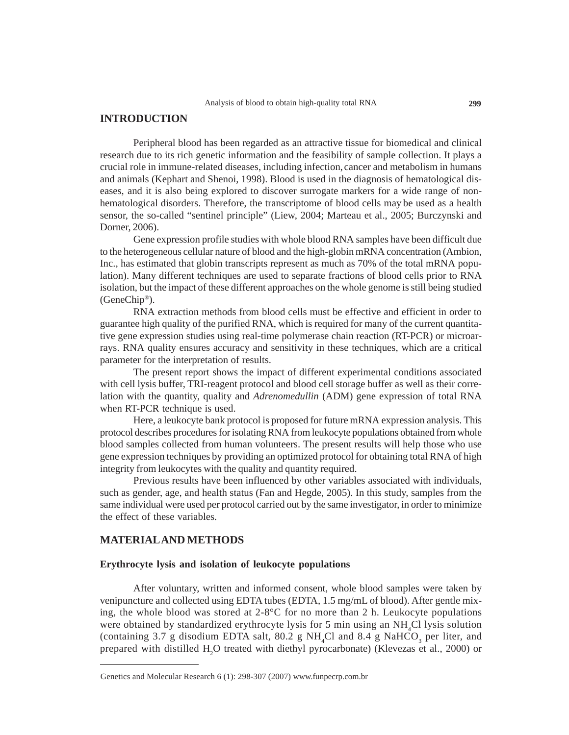# **INTRODUCTION**

Peripheral blood has been regarded as an attractive tissue for biomedical and clinical research due to its rich genetic information and the feasibility of sample collection. It plays a crucial role in immune-related diseases, including infection, cancer and metabolism in humans and animals (Kephart and Shenoi, 1998). Blood is used in the diagnosis of hematological diseases, and it is also being explored to discover surrogate markers for a wide range of nonhematological disorders. Therefore, the transcriptome of blood cells may be used as a health sensor, the so-called "sentinel principle" (Liew, 2004; Marteau et al., 2005; Burczynski and Dorner, 2006).

Gene expression profile studies with whole blood RNA samples have been difficult due to the heterogeneous cellular nature of blood and the high-globin mRNA concentration (Ambion, Inc., has estimated that globin transcripts represent as much as 70% of the total mRNA population). Many different techniques are used to separate fractions of blood cells prior to RNA isolation, but the impact of these different approaches on the whole genome is still being studied (GeneChip®).

RNA extraction methods from blood cells must be effective and efficient in order to guarantee high quality of the purified RNA, which is required for many of the current quantitative gene expression studies using real-time polymerase chain reaction (RT-PCR) or microarrays. RNA quality ensures accuracy and sensitivity in these techniques, which are a critical parameter for the interpretation of results.

The present report shows the impact of different experimental conditions associated with cell lysis buffer, TRI-reagent protocol and blood cell storage buffer as well as their correlation with the quantity, quality and *Adrenomedullin* (ADM) gene expression of total RNA when RT-PCR technique is used.

Here, a leukocyte bank protocol is proposed for future mRNA expression analysis. This protocol describes procedures for isolating RNA from leukocyte populations obtained from whole blood samples collected from human volunteers. The present results will help those who use gene expression techniques by providing an optimized protocol for obtaining total RNA of high integrity from leukocytes with the quality and quantity required.

Previous results have been influenced by other variables associated with individuals, such as gender, age, and health status (Fan and Hegde, 2005). In this study, samples from the same individual were used per protocol carried out by the same investigator, in order to minimize the effect of these variables.

#### **MATERIAL AND METHODS**

## **Erythrocyte lysis and isolation of leukocyte populations**

After voluntary, written and informed consent, whole blood samples were taken by venipuncture and collected using EDTA tubes (EDTA, 1.5 mg/mL of blood). After gentle mixing, the whole blood was stored at 2-8°C for no more than 2 h. Leukocyte populations were obtained by standardized erythrocyte lysis for 5 min using an NH<sub>4</sub>Cl lysis solution (containing 3.7 g disodium EDTA salt, 80.2 g NH<sub>4</sub>Cl and 8.4 g NaHCO<sub>3</sub> per liter, and prepared with distilled H<sub>2</sub>O treated with diethyl pyrocarbonate) (Klevezas et al., 2000) or

Genetics and Molecular Research 6 (1): 298-307 (2007) www.funpecrp.com.br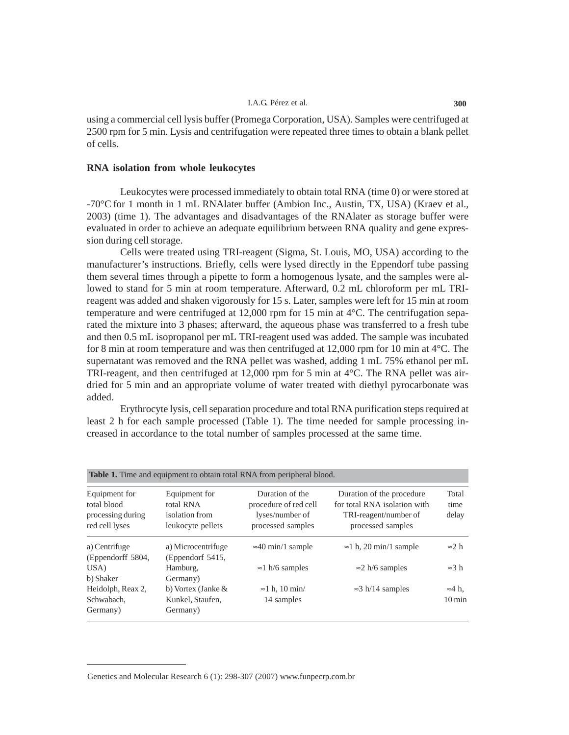#### I.A.G. Pérez et al. **300**

using a commercial cell lysis buffer (Promega Corporation, USA). Samples were centrifuged at 2500 rpm for 5 min. Lysis and centrifugation were repeated three times to obtain a blank pellet of cells.

## **RNA isolation from whole leukocytes**

Leukocytes were processed immediately to obtain total RNA (time 0) or were stored at -70°C for 1 month in 1 mL RNAlater buffer (Ambion Inc., Austin, TX, USA) (Kraev et al., 2003) (time 1). The advantages and disadvantages of the RNAlater as storage buffer were evaluated in order to achieve an adequate equilibrium between RNA quality and gene expression during cell storage.

Cells were treated using TRI-reagent (Sigma, St. Louis, MO, USA) according to the manufacturer's instructions. Briefly, cells were lysed directly in the Eppendorf tube passing them several times through a pipette to form a homogenous lysate, and the samples were allowed to stand for 5 min at room temperature. Afterward, 0.2 mL chloroform per mL TRIreagent was added and shaken vigorously for 15 s. Later, samples were left for 15 min at room temperature and were centrifuged at 12,000 rpm for 15 min at  $4^{\circ}$ C. The centrifugation separated the mixture into 3 phases; afterward, the aqueous phase was transferred to a fresh tube and then 0.5 mL isopropanol per mL TRI-reagent used was added. The sample was incubated for 8 min at room temperature and was then centrifuged at 12,000 rpm for 10 min at  $4^{\circ}$ C. The supernatant was removed and the RNA pellet was washed, adding 1 mL 75% ethanol per mL TRI-reagent, and then centrifuged at 12,000 rpm for 5 min at  $4^{\circ}$ C. The RNA pellet was airdried for 5 min and an appropriate volume of water treated with diethyl pyrocarbonate was added.

Erythrocyte lysis, cell separation procedure and total RNA purification steps required at least 2 h for each sample processed (Table 1). The time needed for sample processing increased in accordance to the total number of samples processed at the same time.

| Table 1. Time and equipment to obtain total RNA from peripheral blood. |                                                                   |                                                                                  |                                                                                                         |                                    |
|------------------------------------------------------------------------|-------------------------------------------------------------------|----------------------------------------------------------------------------------|---------------------------------------------------------------------------------------------------------|------------------------------------|
| Equipment for<br>total blood<br>processing during<br>red cell lyses    | Equipment for<br>total RNA<br>isolation from<br>leukocyte pellets | Duration of the<br>procedure of red cell<br>lyses/number of<br>processed samples | Duration of the procedure<br>for total RNA isolation with<br>TRI-reagent/number of<br>processed samples | Total<br>time<br>delay             |
| a) Centrifuge<br>(Eppendorff 5804,                                     | a) Microcentrifuge<br>(Eppendorf 5415,                            | $\approx$ 40 min/1 sample                                                        | $\approx$ 1 h, 20 min/1 sample                                                                          | $\approx$ 2 h                      |
| USA)<br>b) Shaker                                                      | Hamburg,<br>Germany)                                              | $\approx$ 1 h/6 samples                                                          | $\approx$ 2 h/6 samples                                                                                 | $\approx$ 3 h                      |
| Heidolph, Reax 2,<br>Schwabach,<br>Germany)                            | b) Vortex (Janke $\&$<br>Kunkel, Staufen,<br>Germany)             | $\approx$ 1 h. 10 min/<br>14 samples                                             | $\approx$ 3 h/14 samples                                                                                | $\approx$ 4 h.<br>$10 \text{ min}$ |

Genetics and Molecular Research 6 (1): 298-307 (2007) www.funpecrp.com.br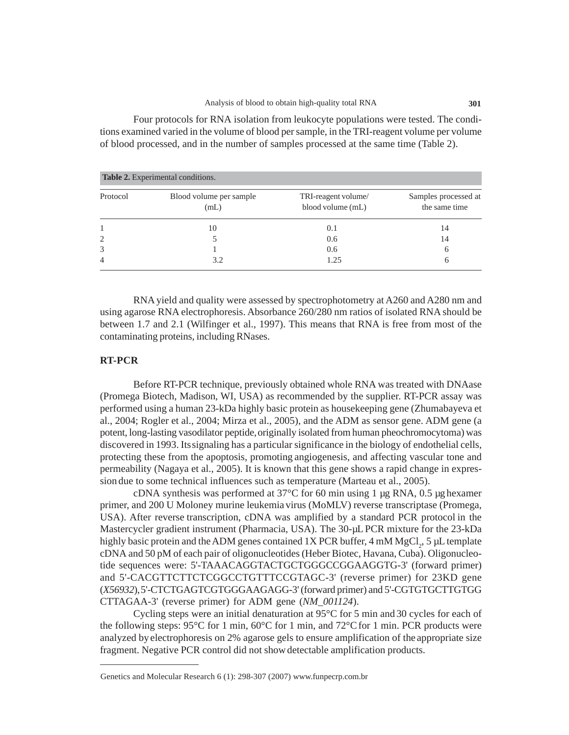Four protocols for RNA isolation from leukocyte populations were tested. The conditions examined varied in the volume of blood per sample, in the TRI-reagent volume per volume of blood processed, and in the number of samples processed at the same time (Table 2).

| <b>Table 2.</b> Experimental conditions. |                                 |                                          |                                       |
|------------------------------------------|---------------------------------|------------------------------------------|---------------------------------------|
| Protocol                                 | Blood volume per sample<br>(mL) | TRI-reagent volume/<br>blood volume (mL) | Samples processed at<br>the same time |
|                                          | 10                              | 0.1                                      | 14                                    |
| $\overline{2}$                           |                                 | 0.6                                      | 14                                    |
| 3                                        |                                 | 0.6                                      | 6                                     |
| $\overline{4}$                           | 3.2                             | 1.25                                     | h                                     |

RNA yield and quality were assessed by spectrophotometry at A260 and A280 nm and using agarose RNA electrophoresis. Absorbance 260/280 nm ratios of isolated RNA should be between 1.7 and 2.1 (Wilfinger et al., 1997). This means that RNA is free from most of the contaminating proteins, including RNases.

## **RT-PCR**

Before RT-PCR technique, previously obtained whole RNA was treated with DNAase (Promega Biotech, Madison, WI, USA) as recommended by the supplier. RT-PCR assay was performed using a human 23-kDa highly basic protein as housekeeping gene (Zhumabayeva et al., 2004; Rogler et al., 2004; Mirza et al., 2005), and the ADM as sensor gene. ADM gene (a potent, long-lasting vasodilator peptide,originally isolated from human pheochromocytoma) was discovered in 1993. Itssignaling has a particular significance in the biology of endothelial cells, protecting these from the apoptosis, promoting angiogenesis, and affecting vascular tone and permeability (Nagaya et al., 2005). It is known that this gene shows a rapid change in expression due to some technical influences such as temperature (Marteau et al., 2005).

cDNA synthesis was performed at  $37^{\circ}$ C for 60 min using 1 µg RNA, 0.5 µg hexamer primer, and 200 U Moloney murine leukemia virus (MoMLV) reverse transcriptase (Promega, USA). After reverse transcription, cDNA was amplified by a standard PCR protocol in the Mastercycler gradient instrument (Pharmacia, USA). The 30-µL PCR mixture for the 23-kDa highly basic protein and the ADM genes contained 1X PCR buffer, 4 mM MgCl<sub>2</sub>, 5 µL template cDNA and 50 pM of each pair of oligonucleotides (Heber Biotec, Havana, Cuba). Oligonucleotide sequences were: 5'-TAAACAGGTACTGCTGGGCCGGAAGGTG-3' (forward primer) and 5'-CACGTTCTTCTCGGCCTGTTTCCGTAGC-3' (reverse primer) for 23KD gene (*X56932*),5'-CTCTGAGTCGTGGGAAGAGG-3' (forward primer) and 5'-CGTGTGCTTGTGG CTTAGAA-3' (reverse primer) for ADM gene (*NM\_001124*).

Cycling steps were an initial denaturation at 95°C for 5 min and 30 cycles for each of the following steps:  $95^{\circ}$ C for 1 min,  $60^{\circ}$ C for 1 min, and  $72^{\circ}$ C for 1 min. PCR products were analyzed by electrophoresis on 2% agarose gels to ensure amplification of the appropriate size fragment. Negative PCR control did not showdetectable amplification products.

Genetics and Molecular Research 6 (1): 298-307 (2007) www.funpecrp.com.br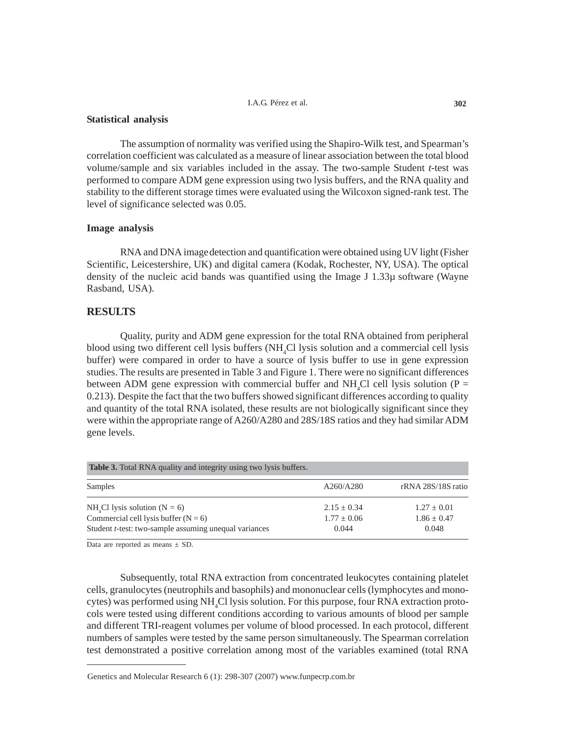#### I.A.G. Pérez et al. **302**

#### **Statistical analysis**

The assumption of normality was verified using the Shapiro-Wilk test, and Spearman's correlation coefficient was calculated as a measure of linear association between the total blood volume/sample and six variables included in the assay. The two-sample Student *t*-test was performed to compare ADM gene expression using two lysis buffers, and the RNA quality and stability to the different storage times were evaluated using the Wilcoxon signed-rank test. The level of significance selected was 0.05.

## **Image analysis**

RNA and DNA imagedetection and quantification were obtained using UV light (Fisher Scientific, Leicestershire, UK) and digital camera (Kodak, Rochester, NY, USA). The optical density of the nucleic acid bands was quantified using the Image J 1.33µ software (Wayne Rasband, USA).

# **RESULTS**

Quality, purity and ADM gene expression for the total RNA obtained from peripheral blood using two different cell lysis buffers (NH<sub>4</sub>Cl lysis solution and a commercial cell lysis buffer) were compared in order to have a source of lysis buffer to use in gene expression studies. The results are presented in Table 3 and Figure 1. There were no significant differences between ADM gene expression with commercial buffer and  $NH<sub>4</sub>Cl$  cell lysis solution (P = 0.213). Despite the fact that the two buffers showed significant differences according to quality and quantity of the total RNA isolated, these results are not biologically significant since they were within the appropriate range of A260/A280 and 28S/18S ratios and they had similar ADM gene levels.

| <b>Table 3.</b> Total RNA quality and integrity using two lysis buffers. |                 |                    |  |
|--------------------------------------------------------------------------|-----------------|--------------------|--|
| Samples                                                                  | A260/A280       | rRNA 28S/18S ratio |  |
| $NH4Cl$ lysis solution (N = 6)                                           | $2.15 \pm 0.34$ | $1.27 + 0.01$      |  |
| Commercial cell lysis buffer $(N = 6)$                                   | $1.77 + 0.06$   | $1.86 + 0.47$      |  |
| Student <i>t</i> -test: two-sample assuming unequal variances            | 0.044           | 0.048              |  |

Data are reported as means  $\pm$  SD.

Subsequently, total RNA extraction from concentrated leukocytes containing platelet cells, granulocytes (neutrophils and basophils) and mononuclear cells (lymphocytes and monocytes) was performed using NH<sub>4</sub>Cl lysis solution. For this purpose, four RNA extraction protocols were tested using different conditions according to various amounts of blood per sample and different TRI-reagent volumes per volume of blood processed. In each protocol, different numbers of samples were tested by the same person simultaneously. The Spearman correlation test demonstrated a positive correlation among most of the variables examined (total RNA

Genetics and Molecular Research 6 (1): 298-307 (2007) www.funpecrp.com.br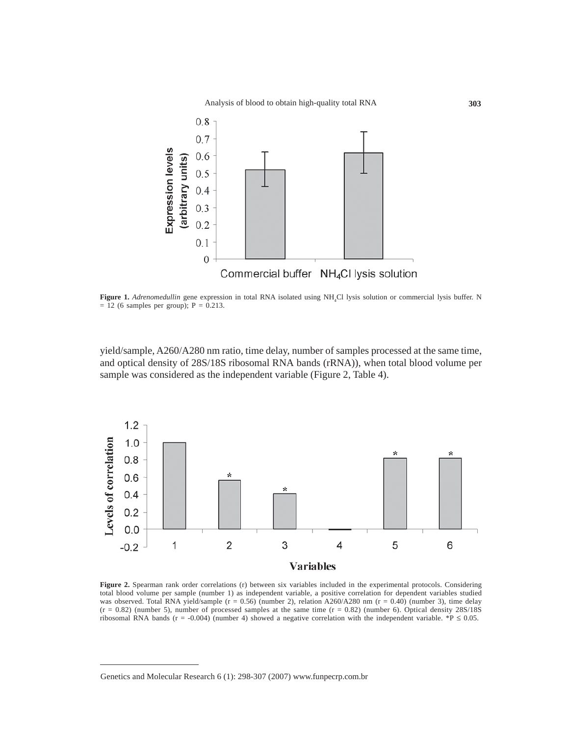

**Figure 1.** *Adrenomedullin* gene expression in total RNA isolated using NH<sub>4</sub>Cl lysis solution or commercial lysis buffer. N  $= 12$  (6 samples per group); P  $= 0.213$ .

yield/sample, A260/A280 nm ratio, time delay, number of samples processed at the same time, and optical density of 28S/18S ribosomal RNA bands (rRNA)), when total blood volume per sample was considered as the independent variable (Figure 2, Table 4).



**Figure 2.** Spearman rank order correlations (r) between six variables included in the experimental protocols. Considering total blood volume per sample (number 1) as independent variable, a positive correlation for dependent variables studied was observed. Total RNA yield/sample  $(r = 0.56)$  (number 2), relation A260/A280 nm  $(r = 0.40)$  (number 3), time delay  $(r = 0.82)$  (number 5), number of processed samples at the same time  $(r = 0.82)$  (number 6). Optical density 28S/18S ribosomal RNA bands (r = -0.004) (number 4) showed a negative correlation with the independent variable. \*P  $\leq$  0.05.

Genetics and Molecular Research 6 (1): 298-307 (2007) www.funpecrp.com.br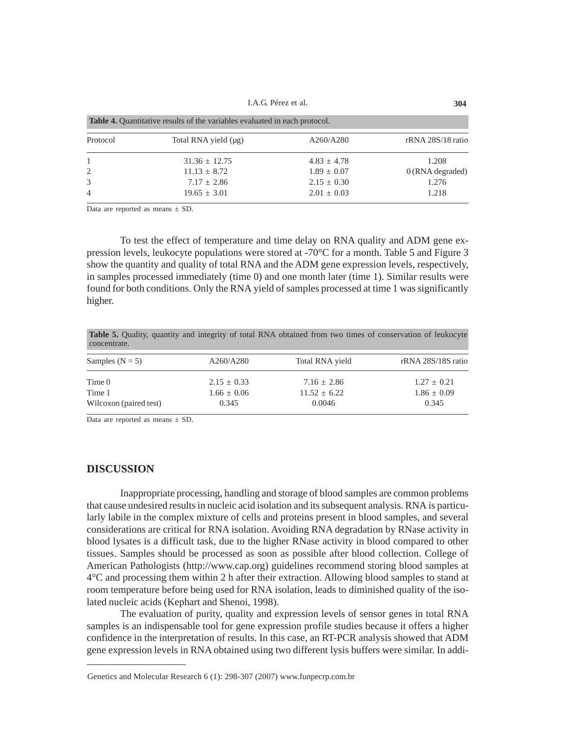I.A.G. Pérez et al. **304**

| <b>Table 4.</b> Quantitative results of the variables evaluated in each protocol. |                      |                 |                    |
|-----------------------------------------------------------------------------------|----------------------|-----------------|--------------------|
| Protocol                                                                          | Total RNA yield (µg) | A260/A280       | rRNA 28S/18 ratio  |
|                                                                                   | $31.36 \pm 12.75$    | $4.83 \pm 4.78$ | 1.208              |
| 2                                                                                 | $11.13 \pm 8.72$     | $1.89 \pm 0.07$ | $0$ (RNA degraded) |
| 3                                                                                 | $7.17 \pm 2.86$      | $2.15 \pm 0.30$ | 1.276              |
| $\overline{4}$                                                                    | $19.65 \pm 3.01$     | $2.01 \pm 0.03$ | 1.218              |

Data are reported as means  $\pm$  SD.

To test the effect of temperature and time delay on RNA quality and ADM gene expression levels, leukocyte populations were stored at -70°C for a month. Table 5 and Figure 3 show the quantity and quality of total RNA and the ADM gene expression levels, respectively, in samples processed immediately (time 0) and one month later (time 1). Similar results were found for both conditions. Only the RNA yield of samples processed at time 1 was significantly higher.

**Table 5.** Quality, quantity and integrity of total RNA obtained from two times of conservation of leukocyte concentrate.

| Samples ( $N = 5$ )    | A260/A280       | Total RNA yield  | rRNA 28S/18S ratio |
|------------------------|-----------------|------------------|--------------------|
| Time 0                 | $2.15 \pm 0.33$ | $7.16 \pm 2.86$  | $1.27 \pm 0.21$    |
| Time 1                 | $1.66 \pm 0.06$ | $11.52 \pm 6.22$ | $1.86 \pm 0.09$    |
| Wilcoxon (paired test) | 0.345           | 0.0046           | 0.345              |

Data are reported as means  $\pm$  SD.

# **DISCUSSION**

Inappropriate processing, handling and storage of blood samples are common problems that cause undesired results in nucleic acid isolation and its subsequent analysis. RNA is particularly labile in the complex mixture of cells and proteins present in blood samples, and several considerations are critical for RNA isolation. Avoiding RNA degradation by RNase activity in blood lysates is a difficult task, due to the higher RNase activity in blood compared to other tissues. Samples should be processed as soon as possible after blood collection. College of American Pathologists (http://www.cap.org) guidelines recommend storing blood samples at 4°C and processing them within 2 h after their extraction. Allowing blood samples to stand at room temperature before being used for RNA isolation, leads to diminished quality of the isolated nucleic acids (Kephart and Shenoi, 1998).

The evaluation of purity, quality and expression levels of sensor genes in total RNA samples is an indispensable tool for gene expression profile studies because it offers a higher confidence in the interpretation of results. In this case, an RT-PCR analysis showed that ADM gene expression levels in RNA obtained using two different lysis buffers were similar. In addi-

Genetics and Molecular Research 6 (1): 298-307 (2007) www.funpecrp.com.br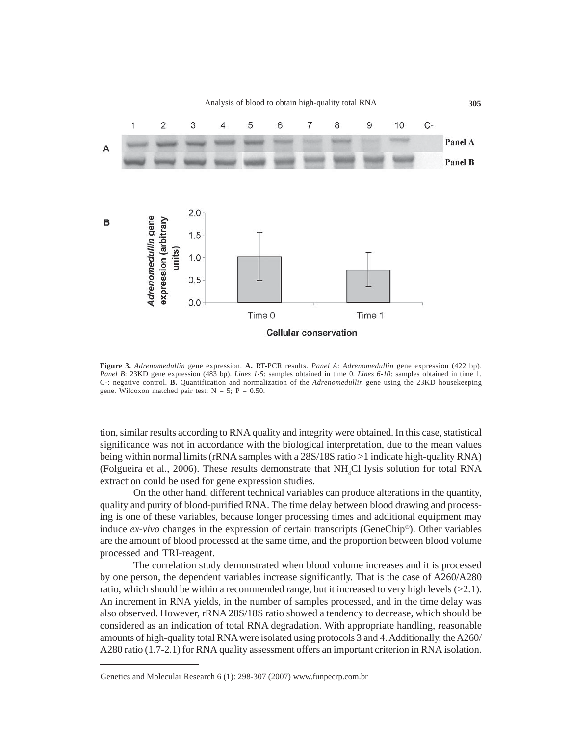

**Figure 3.** *Adrenomedullin* gene expression. **A.** RT-PCR results. *Panel A*: *Adrenomedullin* gene expression (422 bp). *Panel B*: 23KD gene expression (483 bp). *Lines 1-5*: samples obtained in time 0. *Lines 6-10*: samples obtained in time 1. C-: negative control. **B.** Quantification and normalization of the *Adrenomedullin* gene using the 23KD housekeeping gene. Wilcoxon matched pair test;  $N = 5$ ;  $P = 0.50$ .

tion, similar results according to RNA quality and integrity were obtained. In this case, statistical significance was not in accordance with the biological interpretation, due to the mean values being within normal limits (rRNA samples with a 28S/18S ratio >1 indicate high-quality RNA) (Folgueira et al., 2006). These results demonstrate that  $NH<sub>4</sub>Cl$  lysis solution for total RNA extraction could be used for gene expression studies.

On the other hand, different technical variables can produce alterations in the quantity, quality and purity of blood-purified RNA. The time delay between blood drawing and processing is one of these variables, because longer processing times and additional equipment may induce *ex-vivo* changes in the expression of certain transcripts (GeneChip®). Other variables are the amount of blood processed at the same time, and the proportion between blood volume processed and TRI-reagent.

The correlation study demonstrated when blood volume increases and it is processed by one person, the dependent variables increase significantly. That is the case of A260/A280 ratio, which should be within a recommended range, but it increased to very high levels  $(>2.1)$ . An increment in RNA yields, in the number of samples processed, and in the time delay was also observed. However, rRNA 28S/18S ratio showed a tendency to decrease, which should be considered as an indication of total RNA degradation. With appropriate handling, reasonable amounts of high-quality total RNA were isolated using protocols 3 and 4. Additionally, the A260/ A280 ratio (1.7-2.1) for RNA quality assessment offers an important criterion in RNA isolation.

Genetics and Molecular Research 6 (1): 298-307 (2007) www.funpecrp.com.br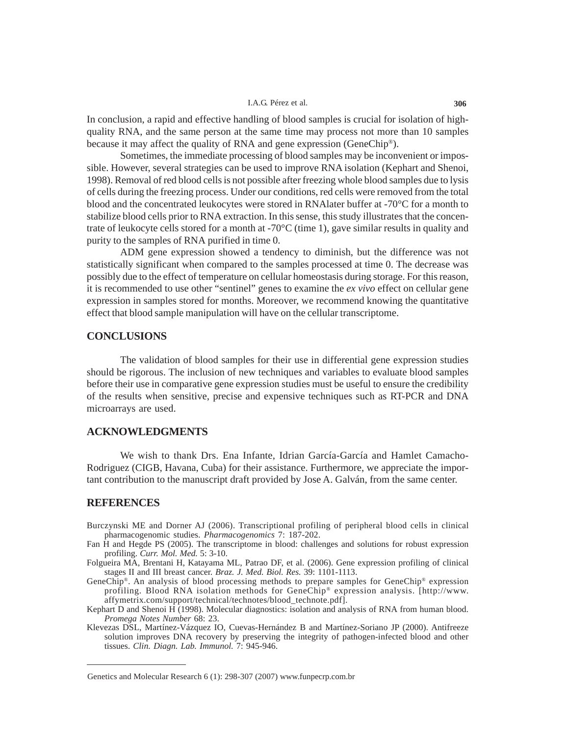#### I.A.G. Pérez et al. **306**

In conclusion, a rapid and effective handling of blood samples is crucial for isolation of highquality RNA, and the same person at the same time may process not more than 10 samples because it may affect the quality of RNA and gene expression (GeneChip®).

Sometimes, the immediate processing of blood samples may be inconvenient or impossible. However, several strategies can be used to improve RNA isolation (Kephart and Shenoi, 1998). Removal of red blood cells is not possible after freezing whole blood samples due to lysis of cells during the freezing process. Under our conditions, red cells were removed from the total blood and the concentrated leukocytes were stored in RNAlater buffer at -70°C for a month to stabilize blood cells prior to RNA extraction. In this sense, this study illustrates that the concentrate of leukocyte cells stored for a month at -70 $\degree$ C (time 1), gave similar results in quality and purity to the samples of RNA purified in time 0.

ADM gene expression showed a tendency to diminish, but the difference was not statistically significant when compared to the samples processed at time 0. The decrease was possibly due to the effect of temperature on cellular homeostasis during storage. For this reason, it is recommended to use other "sentinel" genes to examine the *ex vivo* effect on cellular gene expression in samples stored for months. Moreover, we recommend knowing the quantitative effect that blood sample manipulation will have on the cellular transcriptome.

# **CONCLUSIONS**

The validation of blood samples for their use in differential gene expression studies should be rigorous. The inclusion of new techniques and variables to evaluate blood samples before their use in comparative gene expression studies must be useful to ensure the credibility of the results when sensitive, precise and expensive techniques such as RT-PCR and DNA microarrays are used.

## **ACKNOWLEDGMENTS**

We wish to thank Drs. Ena Infante, Idrian García-García and Hamlet Camacho-Rodriguez (CIGB, Havana, Cuba) for their assistance. Furthermore, we appreciate the important contribution to the manuscript draft provided by Jose A. Galván, from the same center.

## **REFERENCES**

- Burczynski ME and Dorner AJ (2006). Transcriptional profiling of peripheral blood cells in clinical pharmacogenomic studies. *Pharmacogenomics* 7: 187-202.
- Fan H and Hegde PS (2005). The transcriptome in blood: challenges and solutions for robust expression profiling. *Curr. Mol. Med.* 5: 3-10.
- Folgueira MA, Brentani H, Katayama ML, Patrao DF, et al. (2006). Gene expression profiling of clinical stages II and III breast cancer. *Braz. J. Med. Biol. Res.* 39: 1101-1113.
- GeneChip®. An analysis of blood processing methods to prepare samples for GeneChip® expression profiling. Blood RNA isolation methods for GeneChip® expression analysis. [http://www. affymetrix.com/support/technical/technotes/blood\_technote.pdf].
- Kephart D and Shenoi H (1998). Molecular diagnostics: isolation and analysis of RNA from human blood. *Promega Notes Number* 68: 23.
- Klevezas DSL, Martínez-Vázquez IO, Cuevas-Hernández B and Martínez-Soriano JP (2000). Antifreeze solution improves DNA recovery by preserving the integrity of pathogen-infected blood and other tissues. *Clin. Diagn. Lab. Immunol.* 7: 945-946.

Genetics and Molecular Research 6 (1): 298-307 (2007) www.funpecrp.com.br